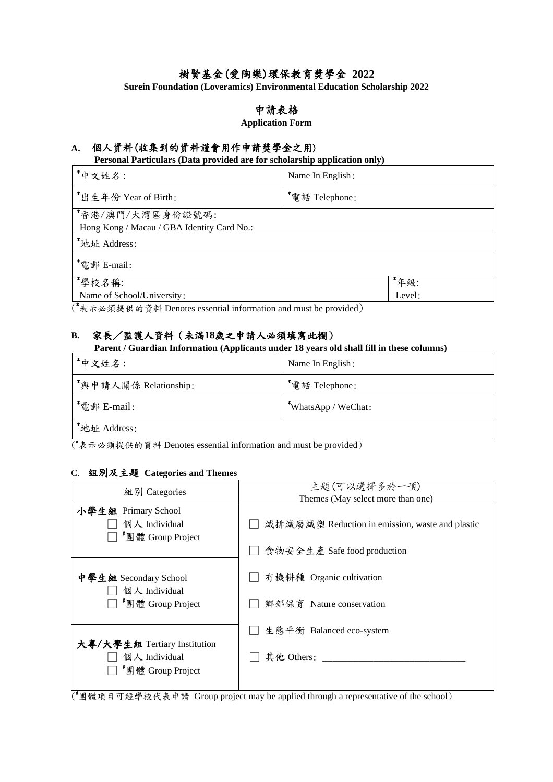# 樹賢基金(愛陶樂)環保教育獎學金 **2022**

**Surein Foundation (Loveramics) Environmental Education Scholarship 2022**

# 申請表格

### **Application Form**

# **A.** 個人資料(收集到的資料謹會用作申請獎學金之用)

**Personal Particulars (Data provided are for scholarship application only)**

| *中文姓名:                                                         | Name In English: |        |  |  |
|----------------------------------------------------------------|------------------|--------|--|--|
| *出生年份 Year of Birth:                                           | *電話 Telephone:   |        |  |  |
| *香港/澳門/大灣區身份證號碼:<br>Hong Kong / Macau / GBA Identity Card No.: |                  |        |  |  |
| *地址 Address:                                                   |                  |        |  |  |
| *電郵 E-mail:                                                    |                  |        |  |  |
| *學校名稱:                                                         |                  | *年級:   |  |  |
| Name of School/University:                                     |                  | Level: |  |  |

( \*表示必須提供的資料 Denotes essential information and must be provided)

# **B.** 家長/監護人資料(未滿**18**歲之申請人必須填寫此欄)

**Parent / Guardian Information (Applicants under 18 years old shall fill in these columns)**

| *中文姓名:                | Name In English:           |
|-----------------------|----------------------------|
| *與申請人關係 Relationship: | <sup>*</sup> 電話 Telephone: |
| *電郵 E-mail:           | $*$ WhatsApp / WeChat:     |
| *地址 Address:          |                            |

( \*表示必須提供的資料 Denotes essential information and must be provided)

#### C. 組別及主題 **Categories and Themes**

| 組別 Categories                                                                  | 主題(可以選擇多於一項)<br>Themes (May select more than one) |  |
|--------------------------------------------------------------------------------|---------------------------------------------------|--|
| 小學生組 Primary School<br>個人 Individual<br><sup>"</sup> 團體 Group Project          | 減排減廢減塑 Reduction in emission, waste and plastic   |  |
|                                                                                | 食物安全生產 Safe food production                       |  |
| 中學生組 Secondary School<br>個人 Individual                                         | 有機耕種 Organic cultivation                          |  |
| <sup>#</sup> 團體 Group Project                                                  | 鄉郊保育 Nature conservation                          |  |
| 大專/大學生組 Tertiary Institution<br>個人 Individual<br><sup>*</sup> 團體 Group Project | 生態平衡 Balanced eco-system<br>其他 Others:            |  |
|                                                                                |                                                   |  |

( #團體項目可經學校代表申請 Group project may be applied through a representative of the school)